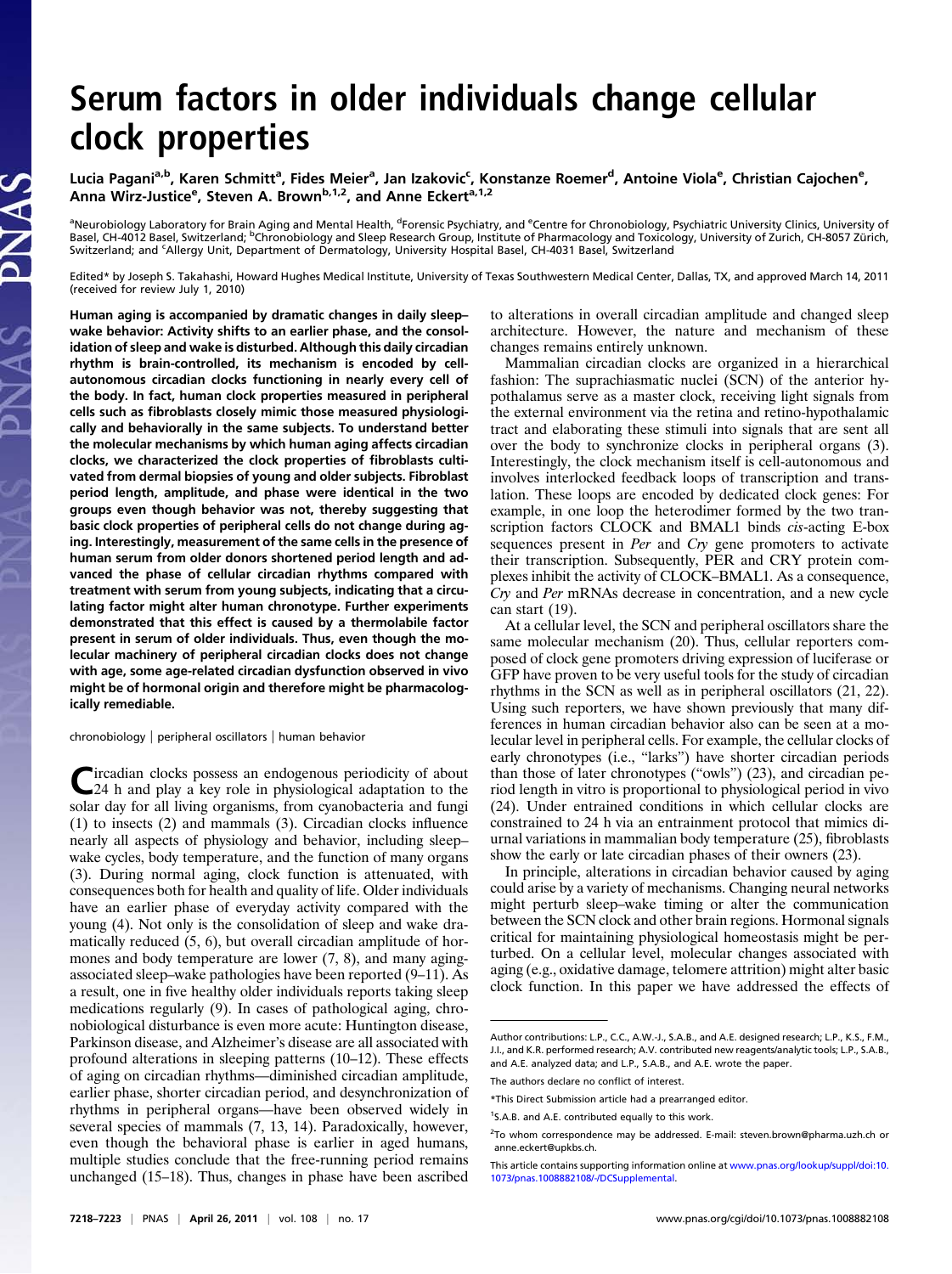# Serum factors in older individuals change cellular clock properties

Lucia Pagani<sup>a,b</sup>, Karen Schmitt<sup>a</sup>, Fides Meier<sup>a</sup>, Jan Izakovic<sup>c</sup>, Konstanze Roemer<sup>d</sup>, Antoine Viola<sup>e</sup>, Christian Cajochen<sup>e</sup>, Anna Wirz-Justice<sup>e</sup>, Steven A. Brown<sup>b,1,2</sup>, and Anne Eckert<sup>a,1,2</sup>

<sup>a</sup>Neurobiology Laboratory for Brain Aging and Mental Health, <sup>d</sup>Forensic Psychiatry, and <sup>e</sup>Centre for Chronobiology, Psychiatric University Clinics, University of Basel, CH-4012 Basel, Switzerland; <sup>b</sup>Chronobiology and Sleep Research Group, Institute of Pharmacology and Toxicology, University of Zurich, CH-8057 Zürich, Switzerland; and ʿAllergy Unit, Department of Dermatology, University Hospital Basel, CH-4031 Basel, Switzerland

Edited\* by Joseph S. Takahashi, Howard Hughes Medical Institute, University of Texas Southwestern Medical Center, Dallas, TX, and approved March 14, 2011 (received for review July 1, 2010)

Human aging is accompanied by dramatic changes in daily sleep– wake behavior: Activity shifts to an earlier phase, and the consolidation of sleep and wake is disturbed. Although this daily circadian rhythm is brain-controlled, its mechanism is encoded by cellautonomous circadian clocks functioning in nearly every cell of the body. In fact, human clock properties measured in peripheral cells such as fibroblasts closely mimic those measured physiologically and behaviorally in the same subjects. To understand better the molecular mechanisms by which human aging affects circadian clocks, we characterized the clock properties of fibroblasts cultivated from dermal biopsies of young and older subjects. Fibroblast period length, amplitude, and phase were identical in the two groups even though behavior was not, thereby suggesting that basic clock properties of peripheral cells do not change during aging. Interestingly, measurement of the same cells in the presence of human serum from older donors shortened period length and advanced the phase of cellular circadian rhythms compared with treatment with serum from young subjects, indicating that a circulating factor might alter human chronotype. Further experiments demonstrated that this effect is caused by a thermolabile factor present in serum of older individuals. Thus, even though the molecular machinery of peripheral circadian clocks does not change with age, some age-related circadian dysfunction observed in vivo might be of hormonal origin and therefore might be pharmacologically remediable.

chronobiology | peripheral oscillators | human behavior

Circadian clocks possess an endogenous periodicity of about 24 h and play a key role in physiological adaptation to the solar day for all living organisms, from cyanobacteria and fungi (1) to insects (2) and mammals (3). Circadian clocks influence nearly all aspects of physiology and behavior, including sleep– wake cycles, body temperature, and the function of many organs (3). During normal aging, clock function is attenuated, with consequences both for health and quality of life. Older individuals have an earlier phase of everyday activity compared with the young (4). Not only is the consolidation of sleep and wake dramatically reduced (5, 6), but overall circadian amplitude of hormones and body temperature are lower  $(7, 8)$ , and many agingassociated sleep–wake pathologies have been reported (9–11). As a result, one in five healthy older individuals reports taking sleep medications regularly (9). In cases of pathological aging, chronobiological disturbance is even more acute: Huntington disease, Parkinson disease, and Alzheimer's disease are all associated with profound alterations in sleeping patterns (10–12). These effects of aging on circadian rhythms—diminished circadian amplitude, earlier phase, shorter circadian period, and desynchronization of rhythms in peripheral organs—have been observed widely in several species of mammals (7, 13, 14). Paradoxically, however, even though the behavioral phase is earlier in aged humans, multiple studies conclude that the free-running period remains unchanged (15–18). Thus, changes in phase have been ascribed

to alterations in overall circadian amplitude and changed sleep architecture. However, the nature and mechanism of these changes remains entirely unknown.

Mammalian circadian clocks are organized in a hierarchical fashion: The suprachiasmatic nuclei (SCN) of the anterior hypothalamus serve as a master clock, receiving light signals from the external environment via the retina and retino-hypothalamic tract and elaborating these stimuli into signals that are sent all over the body to synchronize clocks in peripheral organs (3). Interestingly, the clock mechanism itself is cell-autonomous and involves interlocked feedback loops of transcription and translation. These loops are encoded by dedicated clock genes: For example, in one loop the heterodimer formed by the two transcription factors CLOCK and BMAL1 binds cis-acting E-box sequences present in Per and Cry gene promoters to activate their transcription. Subsequently, PER and CRY protein complexes inhibit the activity of CLOCK–BMAL1. As a consequence, Cry and Per mRNAs decrease in concentration, and a new cycle can start (19).

At a cellular level, the SCN and peripheral oscillators share the same molecular mechanism (20). Thus, cellular reporters composed of clock gene promoters driving expression of luciferase or GFP have proven to be very useful tools for the study of circadian rhythms in the SCN as well as in peripheral oscillators (21, 22). Using such reporters, we have shown previously that many differences in human circadian behavior also can be seen at a molecular level in peripheral cells. For example, the cellular clocks of early chronotypes (i.e., "larks") have shorter circadian periods than those of later chronotypes ("owls") (23), and circadian period length in vitro is proportional to physiological period in vivo (24). Under entrained conditions in which cellular clocks are constrained to 24 h via an entrainment protocol that mimics diurnal variations in mammalian body temperature (25), fibroblasts show the early or late circadian phases of their owners (23).

In principle, alterations in circadian behavior caused by aging could arise by a variety of mechanisms. Changing neural networks might perturb sleep–wake timing or alter the communication between the SCN clock and other brain regions. Hormonal signals critical for maintaining physiological homeostasis might be perturbed. On a cellular level, molecular changes associated with aging (e.g., oxidative damage, telomere attrition) might alter basic clock function. In this paper we have addressed the effects of

Author contributions: L.P., C.C., A.W.-J., S.A.B., and A.E. designed research; L.P., K.S., F.M., J.I., and K.R. performed research; A.V. contributed new reagents/analytic tools; L.P., S.A.B., and A.E. analyzed data; and L.P., S.A.B., and A.E. wrote the paper.

The authors declare no conflict of interest.

<sup>\*</sup>This Direct Submission article had a prearranged editor.

<sup>&</sup>lt;sup>1</sup>S.A.B. and A.E. contributed equally to this work.

<sup>&</sup>lt;sup>2</sup>To whom correspondence may be addressed. E-mail: [steven.brown@pharma.uzh.ch](mailto:steven.brown@pharma.uzh.ch) or [anne.eckert@upkbs.ch](mailto:anne.eckert@upkbs.ch).

This article contains supporting information online at [www.pnas.org/lookup/suppl/doi:10.](http://www.pnas.org/lookup/suppl/doi:10.1073/pnas.1008882108/-/DCSupplemental) [1073/pnas.1008882108/-/DCSupplemental.](http://www.pnas.org/lookup/suppl/doi:10.1073/pnas.1008882108/-/DCSupplemental)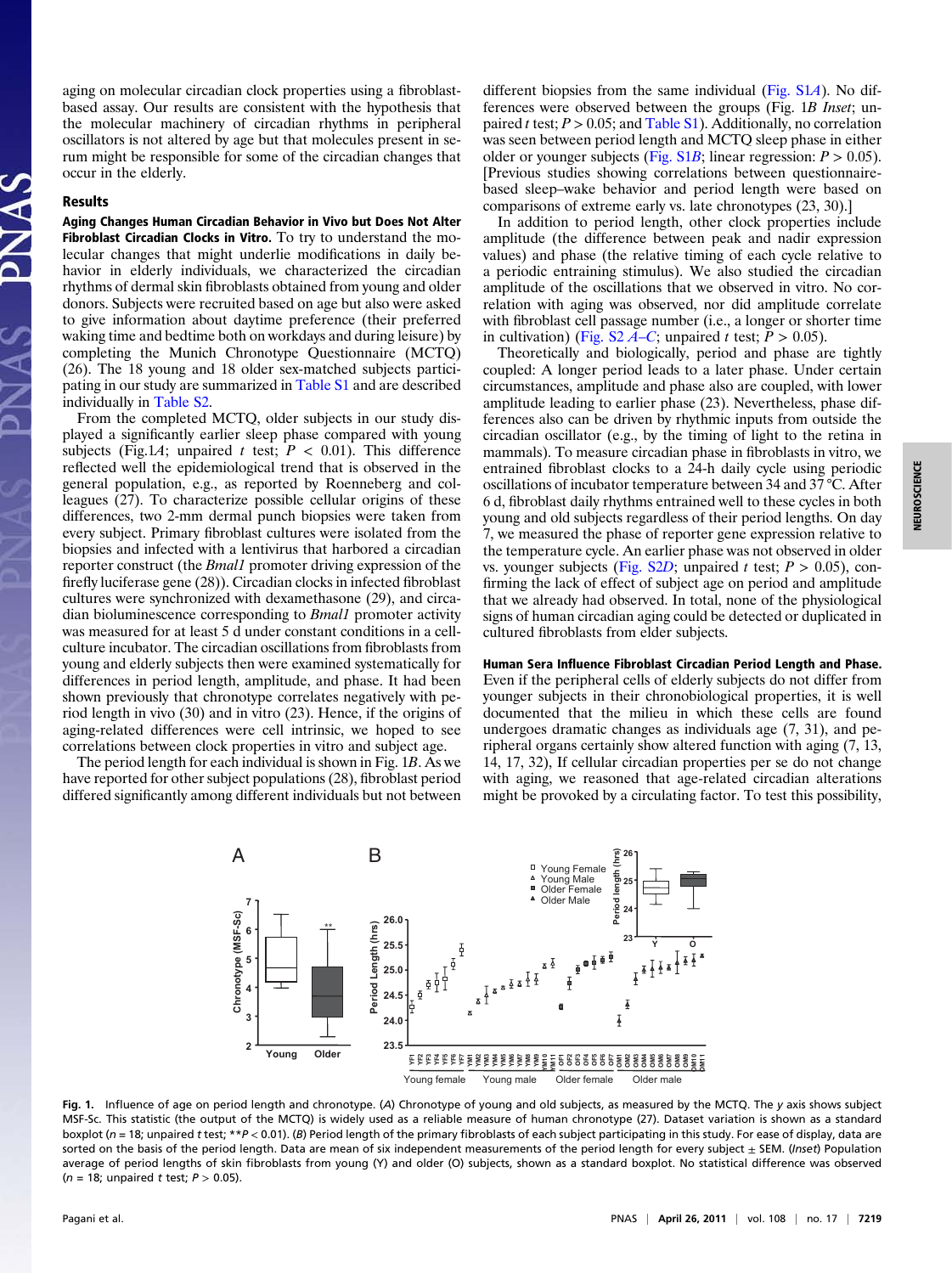aging on molecular circadian clock properties using a fibroblastbased assay. Our results are consistent with the hypothesis that the molecular machinery of circadian rhythms in peripheral oscillators is not altered by age but that molecules present in serum might be responsible for some of the circadian changes that occur in the elderly.

## Results

Aging Changes Human Circadian Behavior in Vivo but Does Not Alter Fibroblast Circadian Clocks in Vitro. To try to understand the molecular changes that might underlie modifications in daily behavior in elderly individuals, we characterized the circadian rhythms of dermal skin fibroblasts obtained from young and older donors. Subjects were recruited based on age but also were asked to give information about daytime preference (their preferred waking time and bedtime both on workdays and during leisure) by completing the Munich Chronotype Questionnaire (MCTQ) (26). The 18 young and 18 older sex-matched subjects participating in our study are summarized in [Table S1](http://www.pnas.org/lookup/suppl/doi:10.1073/pnas.1008882108/-/DCSupplemental/pnas.201008882SI.pdf?targetid=nameddest=ST1) and are described individually in [Table S2](http://www.pnas.org/lookup/suppl/doi:10.1073/pnas.1008882108/-/DCSupplemental/pnas.201008882SI.pdf?targetid=nameddest=ST2).

From the completed MCTQ, older subjects in our study displayed a significantly earlier sleep phase compared with young subjects (Fig.1A; unpaired t test;  $P < 0.01$ ). This difference reflected well the epidemiological trend that is observed in the general population, e.g., as reported by Roenneberg and colleagues (27). To characterize possible cellular origins of these differences, two 2-mm dermal punch biopsies were taken from every subject. Primary fibroblast cultures were isolated from the biopsies and infected with a lentivirus that harbored a circadian reporter construct (the *Bmal1* promoter driving expression of the firefly luciferase gene (28)). Circadian clocks in infected fibroblast cultures were synchronized with dexamethasone (29), and circadian bioluminescence corresponding to Bmal1 promoter activity was measured for at least 5 d under constant conditions in a cellculture incubator. The circadian oscillations from fibroblasts from young and elderly subjects then were examined systematically for differences in period length, amplitude, and phase. It had been shown previously that chronotype correlates negatively with period length in vivo (30) and in vitro (23). Hence, if the origins of aging-related differences were cell intrinsic, we hoped to see correlations between clock properties in vitro and subject age.

The period length for each individual is shown in Fig. 1B. As we have reported for other subject populations (28), fibroblast period differed significantly among different individuals but not between different biopsies from the same individual [\(Fig. S1](http://www.pnas.org/lookup/suppl/doi:10.1073/pnas.1008882108/-/DCSupplemental/pnas.201008882SI.pdf?targetid=nameddest=SF1)A). No differences were observed between the groups (Fig. 1B Inset; unpaired t test;  $P > 0.05$ ; and [Table S1\)](http://www.pnas.org/lookup/suppl/doi:10.1073/pnas.1008882108/-/DCSupplemental/pnas.201008882SI.pdf?targetid=nameddest=ST1). Additionally, no correlation was seen between period length and MCTQ sleep phase in either older or younger subjects ([Fig. S1](http://www.pnas.org/lookup/suppl/doi:10.1073/pnas.1008882108/-/DCSupplemental/pnas.201008882SI.pdf?targetid=nameddest=SF1)B; linear regression:  $P > 0.05$ ). [Previous studies showing correlations between questionnairebased sleep–wake behavior and period length were based on comparisons of extreme early vs. late chronotypes (23, 30).]

In addition to period length, other clock properties include amplitude (the difference between peak and nadir expression values) and phase (the relative timing of each cycle relative to a periodic entraining stimulus). We also studied the circadian amplitude of the oscillations that we observed in vitro. No correlation with aging was observed, nor did amplitude correlate with fibroblast cell passage number (i.e., a longer or shorter time in cultivation) ([Fig. S2](http://www.pnas.org/lookup/suppl/doi:10.1073/pnas.1008882108/-/DCSupplemental/pnas.201008882SI.pdf?targetid=nameddest=SF2) *A–C*; unpaired t test;  $P > 0.05$ ).

Theoretically and biologically, period and phase are tightly coupled: A longer period leads to a later phase. Under certain circumstances, amplitude and phase also are coupled, with lower amplitude leading to earlier phase (23). Nevertheless, phase differences also can be driven by rhythmic inputs from outside the circadian oscillator (e.g., by the timing of light to the retina in mammals). To measure circadian phase in fibroblasts in vitro, we entrained fibroblast clocks to a 24-h daily cycle using periodic oscillations of incubator temperature between 34 and 37 °C. After 6 d, fibroblast daily rhythms entrained well to these cycles in both young and old subjects regardless of their period lengths. On day 7, we measured the phase of reporter gene expression relative to the temperature cycle. An earlier phase was not observed in older vs. younger subjects [\(Fig. S2](http://www.pnas.org/lookup/suppl/doi:10.1073/pnas.1008882108/-/DCSupplemental/pnas.201008882SI.pdf?targetid=nameddest=SF2)D; unpaired t test;  $P > 0.05$ ), confirming the lack of effect of subject age on period and amplitude that we already had observed. In total, none of the physiological signs of human circadian aging could be detected or duplicated in cultured fibroblasts from elder subjects.

## Human Sera Influence Fibroblast Circadian Period Length and Phase.

Even if the peripheral cells of elderly subjects do not differ from younger subjects in their chronobiological properties, it is well documented that the milieu in which these cells are found undergoes dramatic changes as individuals age (7, 31), and peripheral organs certainly show altered function with aging (7, 13, 14, 17, 32), If cellular circadian properties per se do not change with aging, we reasoned that age-related circadian alterations might be provoked by a circulating factor. To test this possibility,



Fig. 1. Influence of age on period length and chronotype. (A) Chronotype of young and old subjects, as measured by the MCTQ. The y axis shows subject MSF-Sc. This statistic (the output of the MCTQ) is widely used as a reliable measure of human chronotype (27). Dataset variation is shown as a standard boxplot ( $n = 18$ ; unpaired t test; \*\*P < 0.01). (B) Period length of the primary fibroblasts of each subject participating in this study. For ease of display, data are sorted on the basis of the period length. Data are mean of six independent measurements of the period length for every subject ± SEM. (Inset) Population average of period lengths of skin fibroblasts from young (Y) and older (O) subjects, shown as a standard boxplot. No statistical difference was observed  $(n = 18;$  unpaired t test;  $P > 0.05$ ).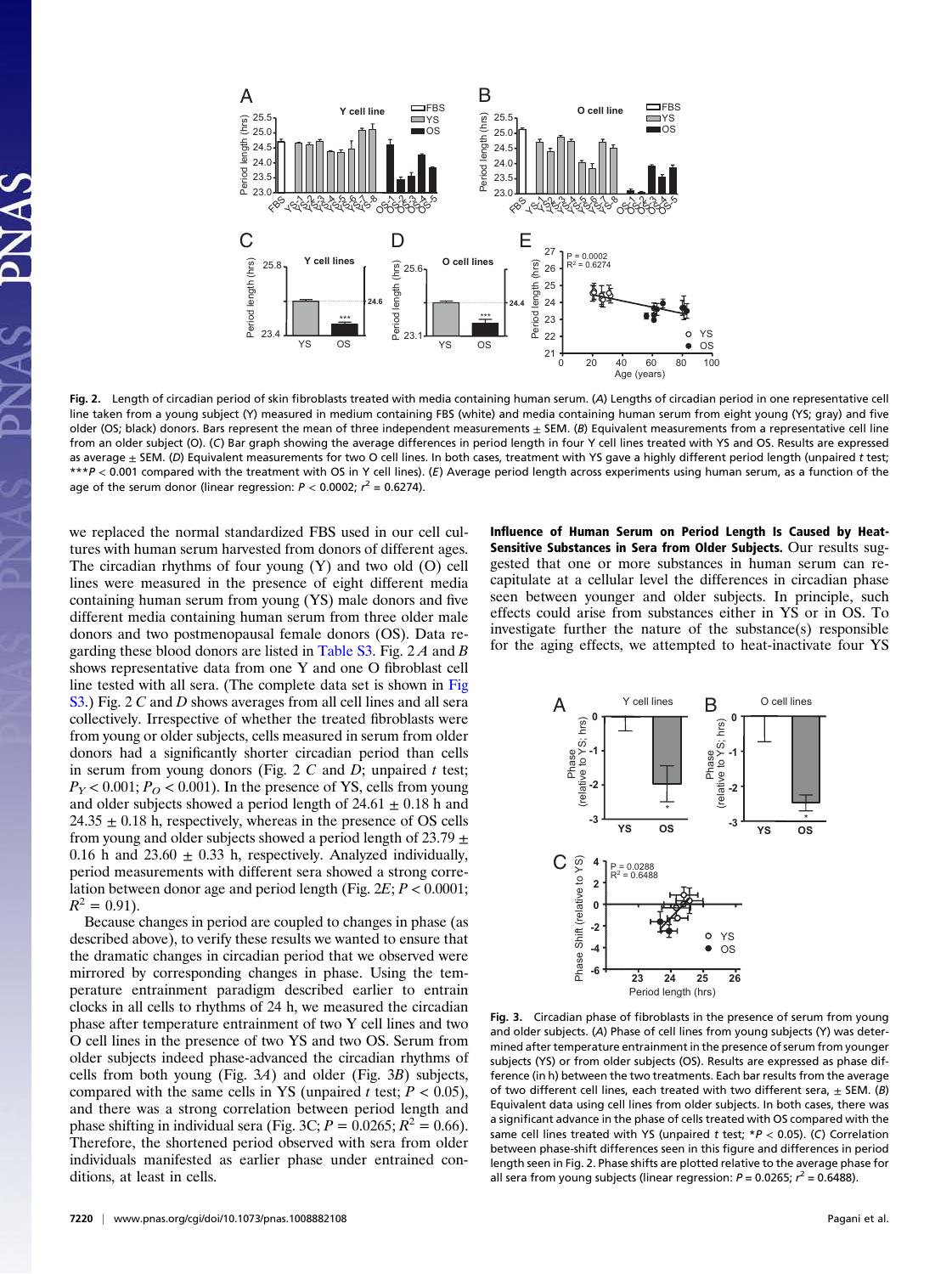

Fig. 2. Length of circadian period of skin fibroblasts treated with media containing human serum. (A) Lengths of circadian period in one representative cell line taken from a young subject (Y) measured in medium containing FBS (white) and media containing human serum from eight young (YS; gray) and five older (OS; black) donors. Bars represent the mean of three independent measurements  $\pm$  SEM. (B) Equivalent measurements from a representative cell line from an older subject (O). (C) Bar graph showing the average differences in period length in four Y cell lines treated with YS and OS. Results are expressed as average ± SEM. (D) Equivalent measurements for two O cell lines. In both cases, treatment with YS gave a highly different period length (unpaired t test; \*\*\*P < 0.001 compared with the treatment with OS in Y cell lines). (E) Average period length across experiments using human serum, as a function of the age of the serum donor (linear regression:  $P < 0.0002$ ;  $r^2 = 0.6274$ ).

we replaced the normal standardized FBS used in our cell cultures with human serum harvested from donors of different ages. The circadian rhythms of four young (Y) and two old (O) cell lines were measured in the presence of eight different media containing human serum from young (YS) male donors and five different media containing human serum from three older male donors and two postmenopausal female donors (OS). Data re-garding these blood donors are listed in [Table S3.](http://www.pnas.org/lookup/suppl/doi:10.1073/pnas.1008882108/-/DCSupplemental/pnas.201008882SI.pdf?targetid=nameddest=ST3) Fig.  $2A$  and B shows representative data from one Y and one O fibroblast cell line tested with all sera. (The complete data set is shown in [Fig](http://www.pnas.org/lookup/suppl/doi:10.1073/pnas.1008882108/-/DCSupplemental/pnas.201008882SI.pdf?targetid=nameddest=SF3) [S3](http://www.pnas.org/lookup/suppl/doi:10.1073/pnas.1008882108/-/DCSupplemental/pnas.201008882SI.pdf?targetid=nameddest=SF3).) Fig. 2 C and D shows averages from all cell lines and all sera collectively. Irrespective of whether the treated fibroblasts were from young or older subjects, cells measured in serum from older donors had a significantly shorter circadian period than cells in serum from young donors (Fig. 2  $C$  and  $D$ ; unpaired  $t$  test;  $P_Y < 0.001$ ;  $P_O < 0.001$ ). In the presence of YS, cells from young and older subjects showed a period length of  $24.61 \pm 0.18$  h and  $24.35 \pm 0.18$  h, respectively, whereas in the presence of OS cells from young and older subjects showed a period length of  $23.79 \pm$ 0.16 h and  $23.60 \pm 0.33$  h, respectively. Analyzed individually, period measurements with different sera showed a strong correlation between donor age and period length (Fig. 2E; P < 0.0001;  $R^2 = 0.91$ .

Because changes in period are coupled to changes in phase (as described above), to verify these results we wanted to ensure that the dramatic changes in circadian period that we observed were mirrored by corresponding changes in phase. Using the temperature entrainment paradigm described earlier to entrain clocks in all cells to rhythms of 24 h, we measured the circadian phase after temperature entrainment of two Y cell lines and two O cell lines in the presence of two YS and two OS. Serum from older subjects indeed phase-advanced the circadian rhythms of cells from both young (Fig. 3A) and older (Fig. 3B) subjects, compared with the same cells in YS (unpaired t test;  $P < 0.05$ ), and there was a strong correlation between period length and phase shifting in individual sera (Fig. 3C;  $P = 0.0265$ ;  $R^2 = 0.66$ ). Therefore, the shortened period observed with sera from older individuals manifested as earlier phase under entrained conditions, at least in cells.

Influence of Human Serum on Period Length Is Caused by Heat-Sensitive Substances in Sera from Older Subjects. Our results suggested that one or more substances in human serum can recapitulate at a cellular level the differences in circadian phase seen between younger and older subjects. In principle, such effects could arise from substances either in YS or in OS. To investigate further the nature of the substance(s) responsible for the aging effects, we attempted to heat-inactivate four YS



Fig. 3. Circadian phase of fibroblasts in the presence of serum from young and older subjects. (A) Phase of cell lines from young subjects (Y) was determined after temperature entrainment in the presence of serum from younger subjects (YS) or from older subjects (OS). Results are expressed as phase difference (in h) between the two treatments. Each bar results from the average of two different cell lines, each treated with two different sera,  $\pm$  SEM. (B) Equivalent data using cell lines from older subjects. In both cases, there was a significant advance in the phase of cells treated with OS compared with the same cell lines treated with YS (unpaired t test;  $*P < 0.05$ ). (C) Correlation between phase-shift differences seen in this figure and differences in period length seen in Fig. 2. Phase shifts are plotted relative to the average phase for all sera from young subjects (linear regression:  $P = 0.0265$ ;  $r^2 = 0.6488$ ).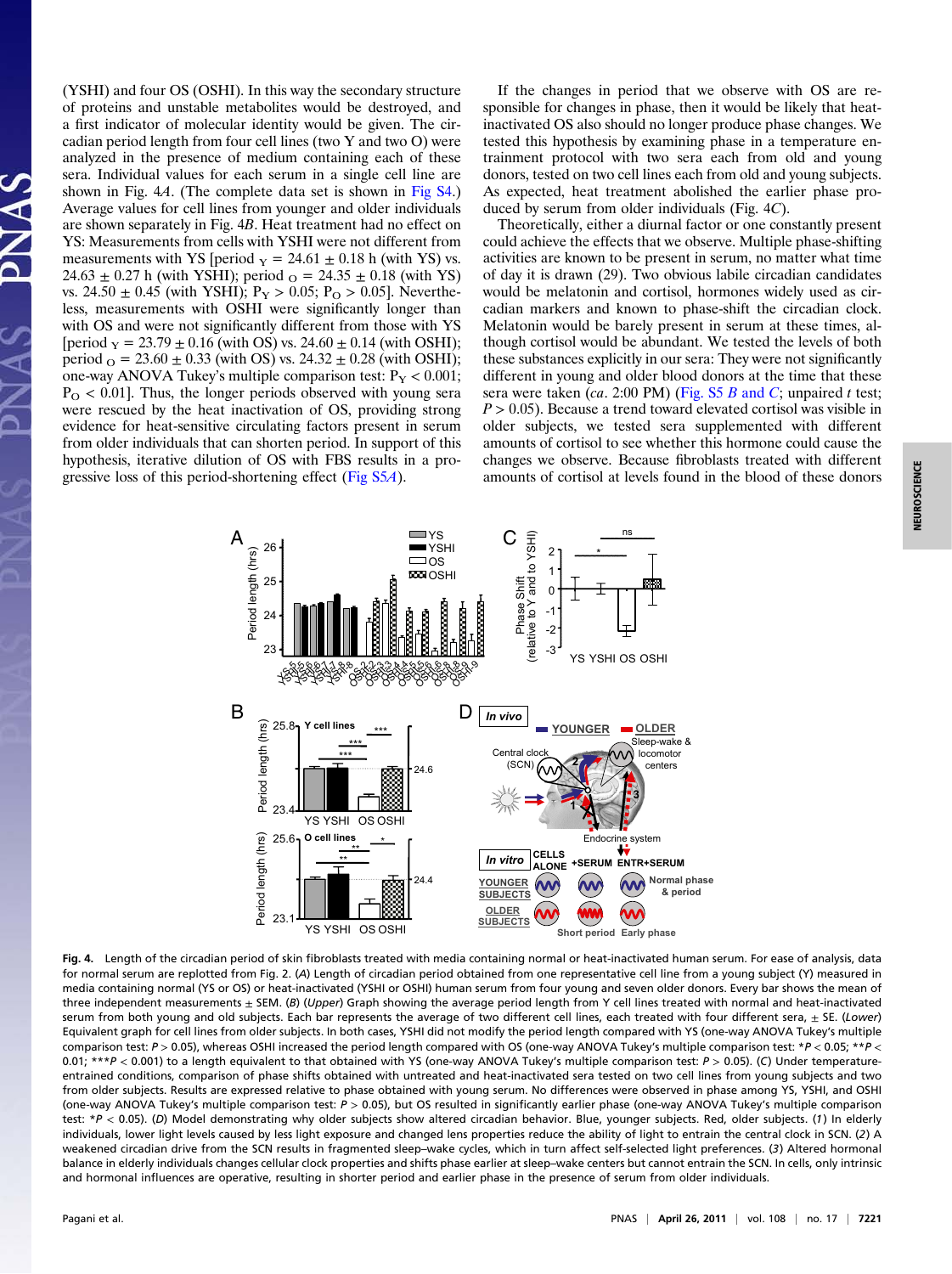(YSHI) and four OS (OSHI). In this way the secondary structure of proteins and unstable metabolites would be destroyed, and a first indicator of molecular identity would be given. The circadian period length from four cell lines (two Y and two O) were analyzed in the presence of medium containing each of these sera. Individual values for each serum in a single cell line are shown in Fig. 4A. (The complete data set is shown in [Fig S4.](http://www.pnas.org/lookup/suppl/doi:10.1073/pnas.1008882108/-/DCSupplemental/pnas.201008882SI.pdf?targetid=nameddest=SF4)) Average values for cell lines from younger and older individuals are shown separately in Fig. 4B. Heat treatment had no effect on YS: Measurements from cells with YSHI were not different from measurements with YS [period  $_Y = 24.61 \pm 0.18$  h (with YS) vs. 24.63  $\pm$  0.27 h (with YSHI); period  $_{\text{O}}$  = 24.35  $\pm$  0.18 (with YS) vs. 24.50  $\pm$  0.45 (with YSHI); P<sub>Y</sub> > 0.05; P<sub>O</sub> > 0.05]. Nevertheless, measurements with OSHI were significantly longer than with OS and were not significantly different from those with YS [period  $_Y = 23.79 \pm 0.16$  (with OS) vs. 24.60  $\pm$  0.14 (with OSHI); period  $_{\text{O}} = 23.60 \pm 0.33$  (with OS) vs. 24.32  $\pm$  0.28 (with OSHI); one-way ANOVA Tukey's multiple comparison test:  $P_Y < 0.001$ ;  $P_{\rm O}$  < 0.01]. Thus, the longer periods observed with young sera were rescued by the heat inactivation of OS, providing strong evidence for heat-sensitive circulating factors present in serum from older individuals that can shorten period. In support of this hypothesis, iterative dilution of OS with FBS results in a progressive loss of this period-shortening effect ([Fig S5](http://www.pnas.org/lookup/suppl/doi:10.1073/pnas.1008882108/-/DCSupplemental/pnas.201008882SI.pdf?targetid=nameddest=SF5)A).

If the changes in period that we observe with OS are responsible for changes in phase, then it would be likely that heatinactivated OS also should no longer produce phase changes. We tested this hypothesis by examining phase in a temperature entrainment protocol with two sera each from old and young donors, tested on two cell lines each from old and young subjects. As expected, heat treatment abolished the earlier phase produced by serum from older individuals (Fig. 4C).

Theoretically, either a diurnal factor or one constantly present could achieve the effects that we observe. Multiple phase-shifting activities are known to be present in serum, no matter what time of day it is drawn (29). Two obvious labile circadian candidates would be melatonin and cortisol, hormones widely used as circadian markers and known to phase-shift the circadian clock. Melatonin would be barely present in serum at these times, although cortisol would be abundant. We tested the levels of both these substances explicitly in our sera: They were not significantly different in young and older blood donors at the time that these sera were taken (ca. 2:00 PM) [\(Fig. S5](http://www.pnas.org/lookup/suppl/doi:10.1073/pnas.1008882108/-/DCSupplemental/pnas.201008882SI.pdf?targetid=nameddest=SF5) B and C; unpaired t test;  $P > 0.05$ ). Because a trend toward elevated cortisol was visible in older subjects, we tested sera supplemented with different amounts of cortisol to see whether this hormone could cause the changes we observe. Because fibroblasts treated with different amounts of cortisol at levels found in the blood of these donors



Fig. 4. Length of the circadian period of skin fibroblasts treated with media containing normal or heat-inactivated human serum. For ease of analysis, data for normal serum are replotted from Fig. 2. (A) Length of circadian period obtained from one representative cell line from a young subject (Y) measured in media containing normal (YS or OS) or heat-inactivated (YSHI or OSHI) human serum from four young and seven older donors. Every bar shows the mean of three independent measurements  $\pm$  SEM. (B) (Upper) Graph showing the average period length from Y cell lines treated with normal and heat-inactivated serum from both young and old subjects. Each bar represents the average of two different cell lines, each treated with four different sera, ± SE. (Lower) Equivalent graph for cell lines from older subjects. In both cases, YSHI did not modify the period length compared with YS (one-way ANOVA Tukey's multiple comparison test:  $P > 0.05$ ), whereas OSHI increased the period length compared with OS (one-way ANOVA Tukey's multiple comparison test: \* $P < 0.05$ ; \*\* $P < 0.05$ ; \*\* $P < 0.05$ ; \*\* $P < 0.05$ ; \*\* $P < 0.05$ ; \*\* $P < 0.05$ ; \*\* $P < 0.$ 0.01;  $***P$  < 0.001) to a length equivalent to that obtained with YS (one-way ANOVA Tukey's multiple comparison test:  $P$  > 0.05). (C) Under temperatureentrained conditions, comparison of phase shifts obtained with untreated and heat-inactivated sera tested on two cell lines from young subjects and two from older subjects. Results are expressed relative to phase obtained with young serum. No differences were observed in phase among YS, YSHI, and OSHI (one-way ANOVA Tukey's multiple comparison test: P > 0.05), but OS resulted in significantly earlier phase (one-way ANOVA Tukey's multiple comparison test: \*P < 0.05). (D) Model demonstrating why older subjects show altered circadian behavior. Blue, younger subjects. Red, older subjects. (1) In elderly individuals, lower light levels caused by less light exposure and changed lens properties reduce the ability of light to entrain the central clock in SCN. (2) A weakened circadian drive from the SCN results in fragmented sleep–wake cycles, which in turn affect self-selected light preferences. (3) Altered hormonal balance in elderly individuals changes cellular clock properties and shifts phase earlier at sleep–wake centers but cannot entrain the SCN. In cells, only intrinsic and hormonal influences are operative, resulting in shorter period and earlier phase in the presence of serum from older individuals.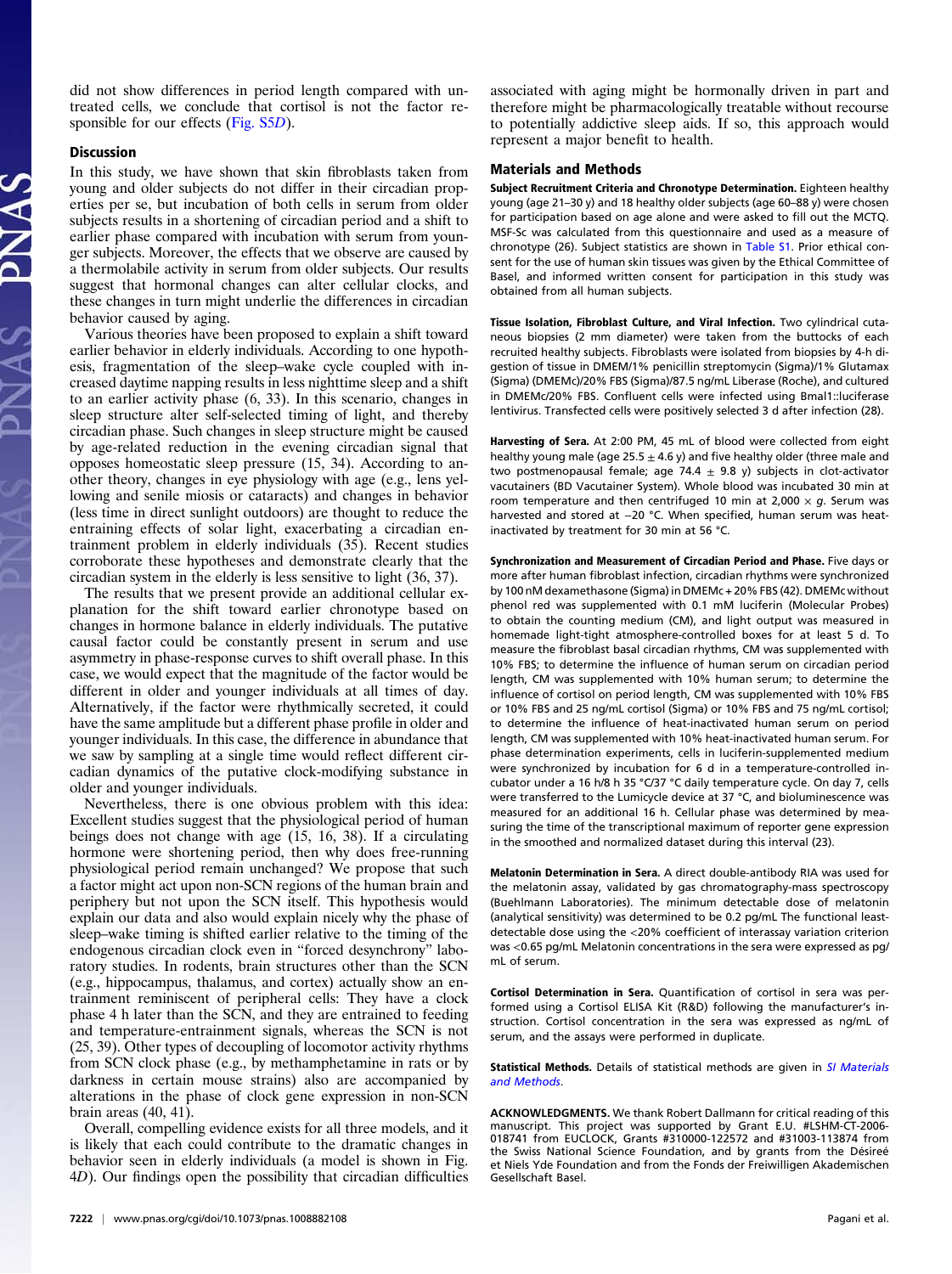did not show differences in period length compared with untreated cells, we conclude that cortisol is not the factor re-sponsible for our effects [\(Fig. S5](http://www.pnas.org/lookup/suppl/doi:10.1073/pnas.1008882108/-/DCSupplemental/pnas.201008882SI.pdf?targetid=nameddest=SF5)D).

## **Discussion**

In this study, we have shown that skin fibroblasts taken from young and older subjects do not differ in their circadian properties per se, but incubation of both cells in serum from older subjects results in a shortening of circadian period and a shift to earlier phase compared with incubation with serum from younger subjects. Moreover, the effects that we observe are caused by a thermolabile activity in serum from older subjects. Our results suggest that hormonal changes can alter cellular clocks, and these changes in turn might underlie the differences in circadian behavior caused by aging.

Various theories have been proposed to explain a shift toward earlier behavior in elderly individuals. According to one hypothesis, fragmentation of the sleep–wake cycle coupled with increased daytime napping results in less nighttime sleep and a shift to an earlier activity phase (6, 33). In this scenario, changes in sleep structure alter self-selected timing of light, and thereby circadian phase. Such changes in sleep structure might be caused by age-related reduction in the evening circadian signal that opposes homeostatic sleep pressure (15, 34). According to another theory, changes in eye physiology with age (e.g., lens yellowing and senile miosis or cataracts) and changes in behavior (less time in direct sunlight outdoors) are thought to reduce the entraining effects of solar light, exacerbating a circadian entrainment problem in elderly individuals (35). Recent studies corroborate these hypotheses and demonstrate clearly that the circadian system in the elderly is less sensitive to light (36, 37).

The results that we present provide an additional cellular explanation for the shift toward earlier chronotype based on changes in hormone balance in elderly individuals. The putative causal factor could be constantly present in serum and use asymmetry in phase-response curves to shift overall phase. In this case, we would expect that the magnitude of the factor would be different in older and younger individuals at all times of day. Alternatively, if the factor were rhythmically secreted, it could have the same amplitude but a different phase profile in older and younger individuals. In this case, the difference in abundance that we saw by sampling at a single time would reflect different circadian dynamics of the putative clock-modifying substance in older and younger individuals.

Nevertheless, there is one obvious problem with this idea: Excellent studies suggest that the physiological period of human beings does not change with age (15, 16, 38). If a circulating hormone were shortening period, then why does free-running physiological period remain unchanged? We propose that such a factor might act upon non-SCN regions of the human brain and periphery but not upon the SCN itself. This hypothesis would explain our data and also would explain nicely why the phase of sleep–wake timing is shifted earlier relative to the timing of the endogenous circadian clock even in "forced desynchrony" laboratory studies. In rodents, brain structures other than the SCN (e.g., hippocampus, thalamus, and cortex) actually show an entrainment reminiscent of peripheral cells: They have a clock phase 4 h later than the SCN, and they are entrained to feeding and temperature-entrainment signals, whereas the SCN is not (25, 39). Other types of decoupling of locomotor activity rhythms from SCN clock phase (e.g., by methamphetamine in rats or by darkness in certain mouse strains) also are accompanied by alterations in the phase of clock gene expression in non-SCN brain areas (40, 41).

Overall, compelling evidence exists for all three models, and it is likely that each could contribute to the dramatic changes in behavior seen in elderly individuals (a model is shown in Fig. 4D). Our findings open the possibility that circadian difficulties associated with aging might be hormonally driven in part and therefore might be pharmacologically treatable without recourse to potentially addictive sleep aids. If so, this approach would represent a major benefit to health.

#### Materials and Methods

Subject Recruitment Criteria and Chronotype Determination. Eighteen healthy young (age 21–30 y) and 18 healthy older subjects (age 60–88 y) were chosen for participation based on age alone and were asked to fill out the MCTQ. MSF-Sc was calculated from this questionnaire and used as a measure of chronotype (26). Subject statistics are shown in [Table S1](http://www.pnas.org/lookup/suppl/doi:10.1073/pnas.1008882108/-/DCSupplemental/pnas.201008882SI.pdf?targetid=nameddest=ST1). Prior ethical consent for the use of human skin tissues was given by the Ethical Committee of Basel, and informed written consent for participation in this study was obtained from all human subjects.

Tissue Isolation, Fibroblast Culture, and Viral Infection. Two cylindrical cutaneous biopsies (2 mm diameter) were taken from the buttocks of each recruited healthy subjects. Fibroblasts were isolated from biopsies by 4-h digestion of tissue in DMEM/1% penicillin streptomycin (Sigma)/1% Glutamax (Sigma) (DMEMc)/20% FBS (Sigma)/87.5 ng/mL Liberase (Roche), and cultured in DMEMc/20% FBS. Confluent cells were infected using Bmal1::luciferase lentivirus. Transfected cells were positively selected 3 d after infection (28).

Harvesting of Sera. At 2:00 PM, 45 mL of blood were collected from eight healthy young male (age 25.5  $\pm$  4.6 y) and five healthy older (three male and two postmenopausal female; age 74.4  $\pm$  9.8 y) subjects in clot-activator vacutainers (BD Vacutainer System). Whole blood was incubated 30 min at room temperature and then centrifuged 10 min at 2,000  $\times$  g. Serum was harvested and stored at −20 °C. When specified, human serum was heatinactivated by treatment for 30 min at 56 °C.

Synchronization and Measurement of Circadian Period and Phase. Five days or more after human fibroblast infection, circadian rhythms were synchronized by 100 nM dexamethasone (Sigma) in DMEMc + 20% FBS (42). DMEMc without phenol red was supplemented with 0.1 mM luciferin (Molecular Probes) to obtain the counting medium (CM), and light output was measured in homemade light-tight atmosphere-controlled boxes for at least 5 d. To measure the fibroblast basal circadian rhythms, CM was supplemented with 10% FBS; to determine the influence of human serum on circadian period length, CM was supplemented with 10% human serum; to determine the influence of cortisol on period length, CM was supplemented with 10% FBS or 10% FBS and 25 ng/mL cortisol (Sigma) or 10% FBS and 75 ng/mL cortisol; to determine the influence of heat-inactivated human serum on period length, CM was supplemented with 10% heat-inactivated human serum. For phase determination experiments, cells in luciferin-supplemented medium were synchronized by incubation for 6 d in a temperature-controlled incubator under a 16 h/8 h 35 °C/37 °C daily temperature cycle. On day 7, cells were transferred to the Lumicycle device at 37 °C, and bioluminescence was measured for an additional 16 h. Cellular phase was determined by measuring the time of the transcriptional maximum of reporter gene expression in the smoothed and normalized dataset during this interval (23).

Melatonin Determination in Sera. A direct double-antibody RIA was used for the melatonin assay, validated by gas chromatography-mass spectroscopy (Buehlmann Laboratories). The minimum detectable dose of melatonin (analytical sensitivity) was determined to be 0.2 pg/mL The functional leastdetectable dose using the <20% coefficient of interassay variation criterion was <0.65 pg/mL Melatonin concentrations in the sera were expressed as pg/ mL of serum.

Cortisol Determination in Sera. Quantification of cortisol in sera was performed using a Cortisol ELISA Kit (R&D) following the manufacturer's instruction. Cortisol concentration in the sera was expressed as ng/mL of serum, and the assays were performed in duplicate.

Statistical Methods. Details of statistical methods are given in [SI Materials](http://www.pnas.org/lookup/suppl/doi:10.1073/pnas.1008882108/-/DCSupplemental/pnas.201008882SI.pdf?targetid=nameddest=STXT) [and Methods](http://www.pnas.org/lookup/suppl/doi:10.1073/pnas.1008882108/-/DCSupplemental/pnas.201008882SI.pdf?targetid=nameddest=STXT).

ACKNOWLEDGMENTS. We thank Robert Dallmann for critical reading of this manuscript. This project was supported by Grant E.U. #LSHM-CT-2006- 018741 from EUCLOCK, Grants #310000-122572 and #31003-113874 from the Swiss National Science Foundation, and by grants from the Désireé et Niels Yde Foundation and from the Fonds der Freiwilligen Akademischen Gesellschaft Basel.